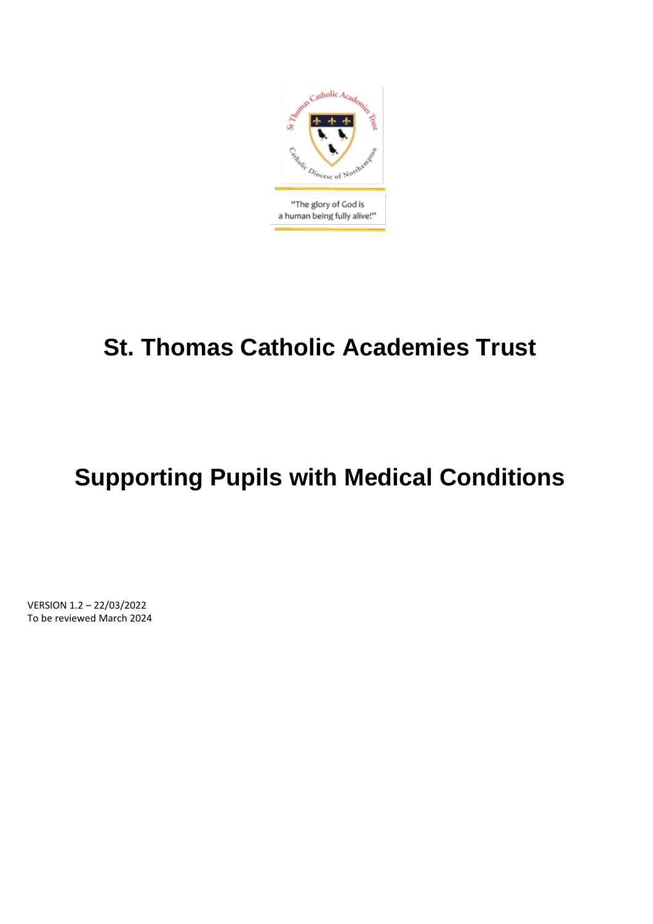

# **St. Thomas Catholic Academies Trust**

# **Supporting Pupils with Medical Conditions**

VERSION 1.2 – 22/03/2022 To be reviewed March 2024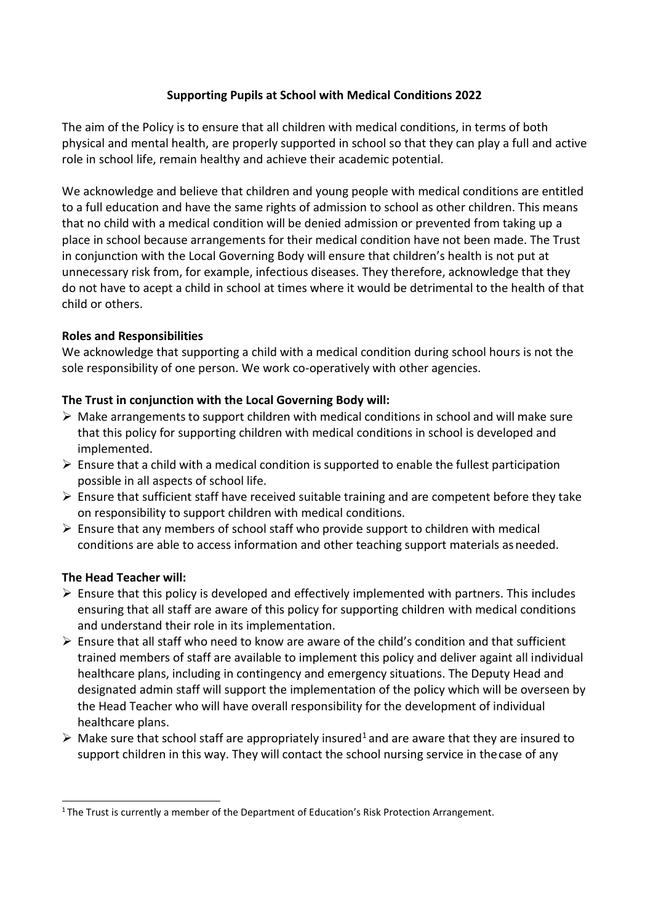# **Supporting Pupils at School with Medical Conditions 2022**

The aim of the Policy is to ensure that all children with medical conditions, in terms of both physical and mental health, are properly supported in school so that they can play a full and active role in school life, remain healthy and achieve their academic potential.

We acknowledge and believe that children and young people with medical conditions are entitled to a full education and have the same rights of admission to school as other children. This means that no child with a medical condition will be denied admission or prevented from taking up a place in school because arrangements for their medical condition have not been made. The Trust in conjunction with the Local Governing Body will ensure that children's health is not put at unnecessary risk from, for example, infectious diseases. They therefore, acknowledge that they do not have to acept a child in school at times where it would be detrimental to the health of that child or others.

# **Roles and Responsibilities**

We acknowledge that supporting a child with a medical condition during school hours is not the sole responsibility of one person. We work co-operatively with other agencies.

# **The Trust in conjunction with the Local Governing Body will:**

- ➢ Make arrangements to support children with medical conditions in school and will make sure that this policy for supporting children with medical conditions in school is developed and implemented.
- $\triangleright$  Ensure that a child with a medical condition is supported to enable the fullest participation possible in all aspects of school life.
- ➢ Ensure that sufficient staff have received suitable training and are competent before they take on responsibility to support children with medical conditions.
- $\triangleright$  Ensure that any members of school staff who provide support to children with medical conditions are able to access information and other teaching support materials asneeded.

# **The Head Teacher will:**

- $\triangleright$  Ensure that this policy is developed and effectively implemented with partners. This includes ensuring that all staff are aware of this policy for supporting children with medical conditions and understand their role in its implementation.
- $\triangleright$  Ensure that all staff who need to know are aware of the child's condition and that sufficient trained members of staff are available to implement this policy and deliver againt all individual healthcare plans, including in contingency and emergency situations. The Deputy Head and designated admin staff will support the implementation of the policy which will be overseen by the Head Teacher who will have overall responsibility for the development of individual healthcare plans.
- $\triangleright$  Make sure that school staff are appropriately insured<sup>1</sup> and are aware that they are insured to support children in this way. They will contact the school nursing service in thecase of any

<sup>&</sup>lt;sup>1</sup> The Trust is currently a member of the Department of Education's Risk Protection Arrangement.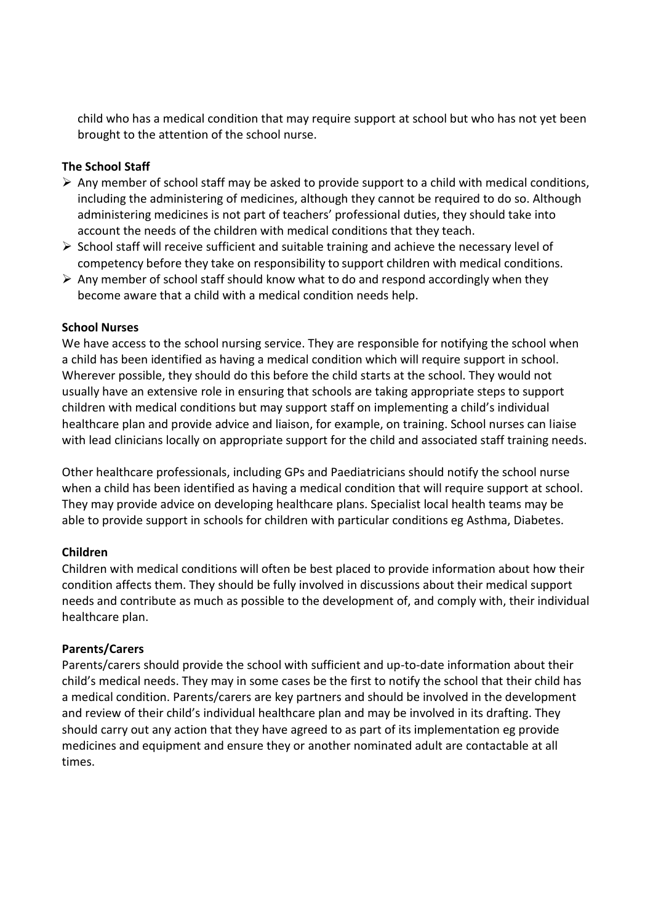child who has a medical condition that may require support at school but who has not yet been brought to the attention of the school nurse.

## **The School Staff**

- $\triangleright$  Any member of school staff may be asked to provide support to a child with medical conditions, including the administering of medicines, although they cannot be required to do so. Although administering medicines is not part of teachers' professional duties, they should take into account the needs of the children with medical conditions that they teach.
- ➢ School staff will receive sufficient and suitable training and achieve the necessary level of competency before they take on responsibility to support children with medical conditions.
- $\triangleright$  Any member of school staff should know what to do and respond accordingly when they become aware that a child with a medical condition needs help.

### **School Nurses**

We have access to the school nursing service. They are responsible for notifying the school when a child has been identified as having a medical condition which will require support in school. Wherever possible, they should do this before the child starts at the school. They would not usually have an extensive role in ensuring that schools are taking appropriate steps to support children with medical conditions but may support staff on implementing a child's individual healthcare plan and provide advice and liaison, for example, on training. School nurses can liaise with lead clinicians locally on appropriate support for the child and associated staff training needs.

Other healthcare professionals, including GPs and Paediatricians should notify the school nurse when a child has been identified as having a medical condition that will require support at school. They may provide advice on developing healthcare plans. Specialist local health teams may be able to provide support in schools for children with particular conditions eg Asthma, Diabetes.

#### **Children**

Children with medical conditions will often be best placed to provide information about how their condition affects them. They should be fully involved in discussions about their medical support needs and contribute as much as possible to the development of, and comply with, their individual healthcare plan.

#### **Parents/Carers**

Parents/carers should provide the school with sufficient and up-to-date information about their child's medical needs. They may in some cases be the first to notify the school that their child has a medical condition. Parents/carers are key partners and should be involved in the development and review of their child's individual healthcare plan and may be involved in its drafting. They should carry out any action that they have agreed to as part of its implementation eg provide medicines and equipment and ensure they or another nominated adult are contactable at all times.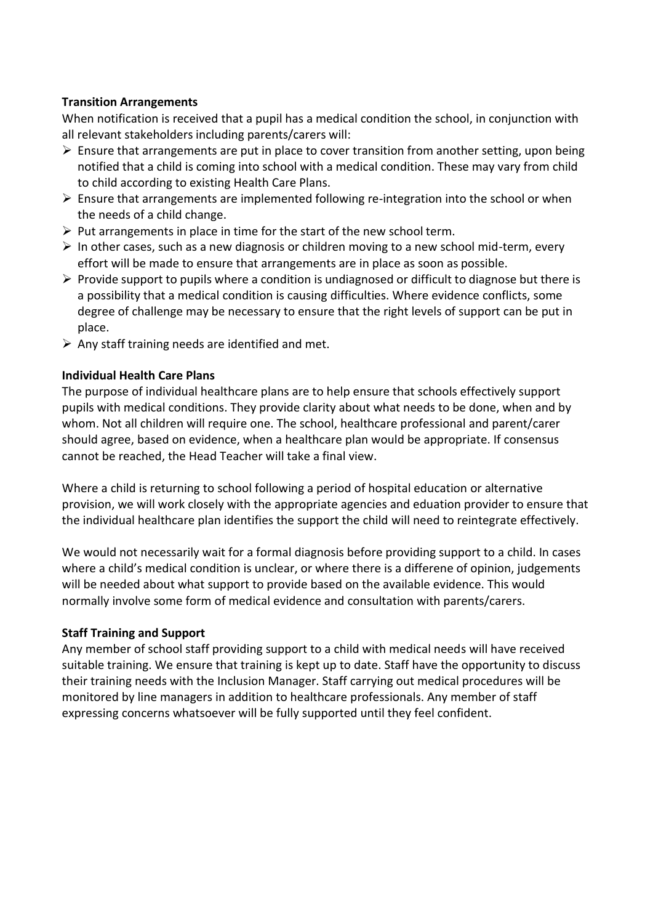## **Transition Arrangements**

When notification is received that a pupil has a medical condition the school, in conjunction with all relevant stakeholders including parents/carers will:

- $\triangleright$  Ensure that arrangements are put in place to cover transition from another setting, upon being notified that a child is coming into school with a medical condition. These may vary from child to child according to existing Health Care Plans.
- $\triangleright$  Ensure that arrangements are implemented following re-integration into the school or when the needs of a child change.
- $\triangleright$  Put arrangements in place in time for the start of the new school term.
- ➢ In other cases, such as a new diagnosis or children moving to a new school mid-term, every effort will be made to ensure that arrangements are in place as soon as possible.
- $\triangleright$  Provide support to pupils where a condition is undiagnosed or difficult to diagnose but there is a possibility that a medical condition is causing difficulties. Where evidence conflicts, some degree of challenge may be necessary to ensure that the right levels of support can be put in place.
- $\triangleright$  Any staff training needs are identified and met.

# **Individual Health Care Plans**

The purpose of individual healthcare plans are to help ensure that schools effectively support pupils with medical conditions. They provide clarity about what needs to be done, when and by whom. Not all children will require one. The school, healthcare professional and parent/carer should agree, based on evidence, when a healthcare plan would be appropriate. If consensus cannot be reached, the Head Teacher will take a final view.

Where a child is returning to school following a period of hospital education or alternative provision, we will work closely with the appropriate agencies and eduation provider to ensure that the individual healthcare plan identifies the support the child will need to reintegrate effectively.

We would not necessarily wait for a formal diagnosis before providing support to a child. In cases where a child's medical condition is unclear, or where there is a differene of opinion, judgements will be needed about what support to provide based on the available evidence. This would normally involve some form of medical evidence and consultation with parents/carers.

# **Staff Training and Support**

Any member of school staff providing support to a child with medical needs will have received suitable training. We ensure that training is kept up to date. Staff have the opportunity to discuss their training needs with the Inclusion Manager. Staff carrying out medical procedures will be monitored by line managers in addition to healthcare professionals. Any member of staff expressing concerns whatsoever will be fully supported until they feel confident.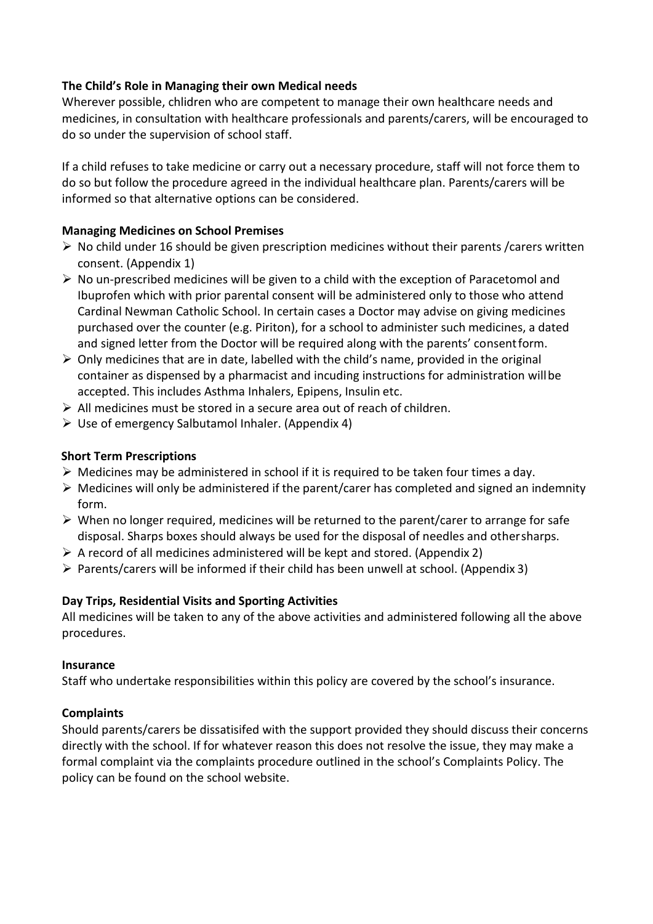# **The Child's Role in Managing their own Medical needs**

Wherever possible, chlidren who are competent to manage their own healthcare needs and medicines, in consultation with healthcare professionals and parents/carers, will be encouraged to do so under the supervision of school staff.

If a child refuses to take medicine or carry out a necessary procedure, staff will not force them to do so but follow the procedure agreed in the individual healthcare plan. Parents/carers will be informed so that alternative options can be considered.

# **Managing Medicines on School Premises**

- $\triangleright$  No child under 16 should be given prescription medicines without their parents /carers written consent. (Appendix 1)
- $\triangleright$  No un-prescribed medicines will be given to a child with the exception of Paracetomol and Ibuprofen which with prior parental consent will be administered only to those who attend Cardinal Newman Catholic School. In certain cases a Doctor may advise on giving medicines purchased over the counter (e.g. Piriton), for a school to administer such medicines, a dated and signed letter from the Doctor will be required along with the parents' consentform.
- $\triangleright$  Only medicines that are in date, labelled with the child's name, provided in the original container as dispensed by a pharmacist and incuding instructions for administration willbe accepted. This includes Asthma Inhalers, Epipens, Insulin etc.
- ➢ All medicines must be stored in a secure area out of reach of children.
- $\triangleright$  Use of emergency Salbutamol Inhaler. (Appendix 4)

# **Short Term Prescriptions**

- $\triangleright$  Medicines may be administered in school if it is required to be taken four times a day.
- $\triangleright$  Medicines will only be administered if the parent/carer has completed and signed an indemnity form.
- $\triangleright$  When no longer required, medicines will be returned to the parent/carer to arrange for safe disposal. Sharps boxes should always be used for the disposal of needles and othersharps.
- $\triangleright$  A record of all medicines administered will be kept and stored. (Appendix 2)
- $\triangleright$  Parents/carers will be informed if their child has been unwell at school. (Appendix 3)

# **Day Trips, Residential Visits and Sporting Activities**

All medicines will be taken to any of the above activities and administered following all the above procedures.

# **Insurance**

Staff who undertake responsibilities within this policy are covered by the school's insurance.

# **Complaints**

Should parents/carers be dissatisifed with the support provided they should discuss their concerns directly with the school. If for whatever reason this does not resolve the issue, they may make a formal complaint via the complaints procedure outlined in the school's Complaints Policy. The policy can be found on the school website.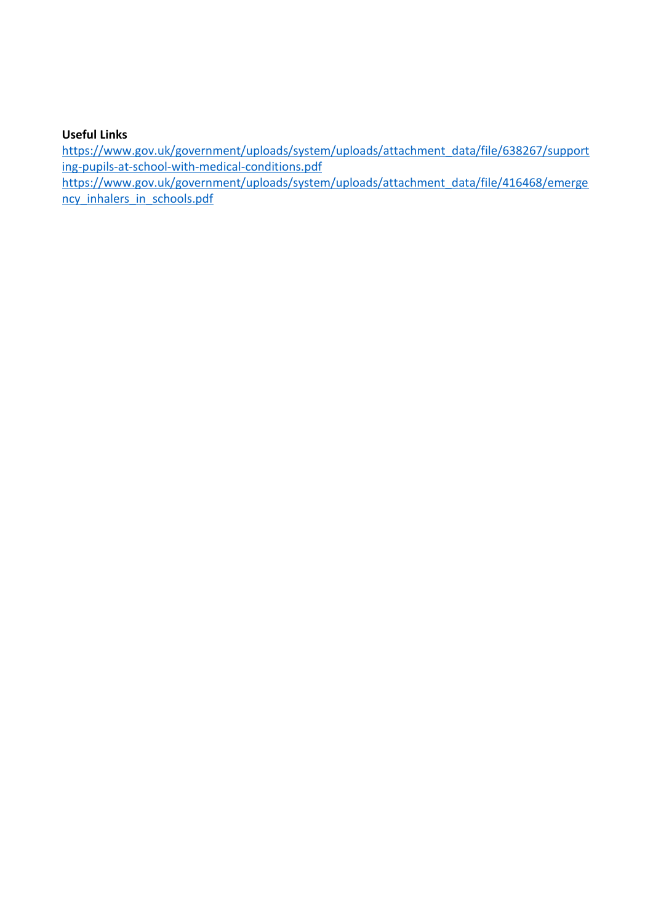# **Useful Links**

[https://www.gov.uk/government/uploads/system/uploads/attachment\\_data/file/638267/support](https://www.gov.uk/government/uploads/system/uploads/attachment_data/file/638267/supporting-pupils-at-school-with-medical-conditions.pdf) [ing-pupils-at-school-with-medical-conditions.pdf](https://www.gov.uk/government/uploads/system/uploads/attachment_data/file/638267/supporting-pupils-at-school-with-medical-conditions.pdf)

[https://www.gov.uk/government/uploads/system/uploads/attachment\\_data/file/416468/emerge](https://www.gov.uk/government/uploads/system/uploads/attachment_data/file/416468/emergency_inhalers_in_schools.pdf) [ncy\\_inhalers\\_in\\_schools.pdf](https://www.gov.uk/government/uploads/system/uploads/attachment_data/file/416468/emergency_inhalers_in_schools.pdf)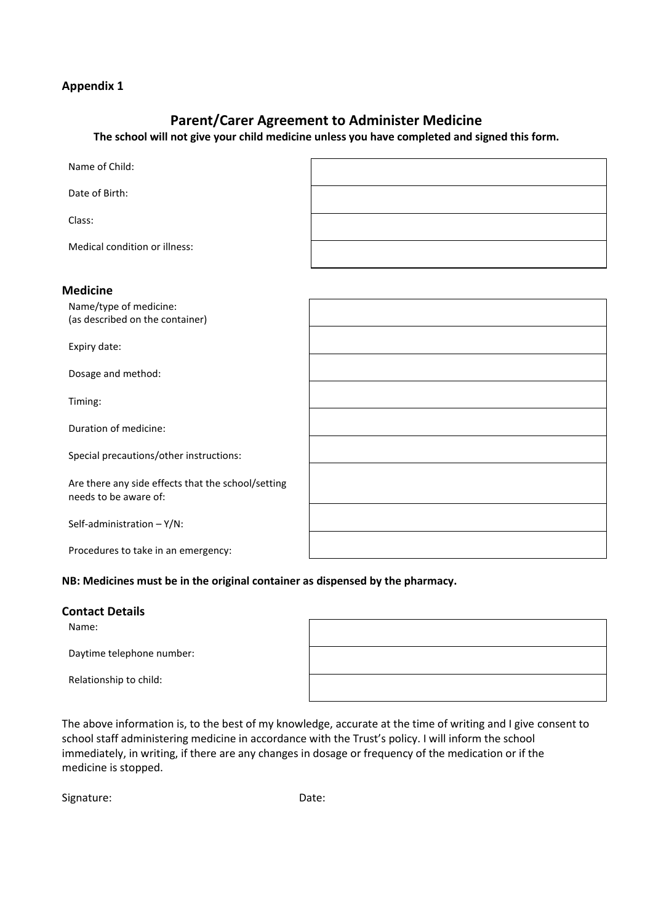# **Parent/Carer Agreement to Administer Medicine**

**The school will not give your child medicine unless you have completed and signed this form.**

| Name of Child:                                                              |  |
|-----------------------------------------------------------------------------|--|
| Date of Birth:                                                              |  |
| Class:                                                                      |  |
| Medical condition or illness:                                               |  |
| <b>Medicine</b>                                                             |  |
| Name/type of medicine:<br>(as described on the container)                   |  |
| Expiry date:                                                                |  |
| Dosage and method:                                                          |  |
| Timing:                                                                     |  |
| Duration of medicine:                                                       |  |
| Special precautions/other instructions:                                     |  |
| Are there any side effects that the school/setting<br>needs to be aware of: |  |
| Self-administration $- Y/N$ :                                               |  |
| Procedures to take in an emergency:                                         |  |

#### **NB: Medicines must be in the original container as dispensed by the pharmacy.**

## **Contact Details**

Name:

Daytime telephone number:

Relationship to child:

┑

The above information is, to the best of my knowledge, accurate at the time of writing and I give consent to school staff administering medicine in accordance with the Trust's policy. I will inform the school immediately, in writing, if there are any changes in dosage or frequency of the medication or if the medicine is stopped.

Signature: Date: Date:

 $\Gamma$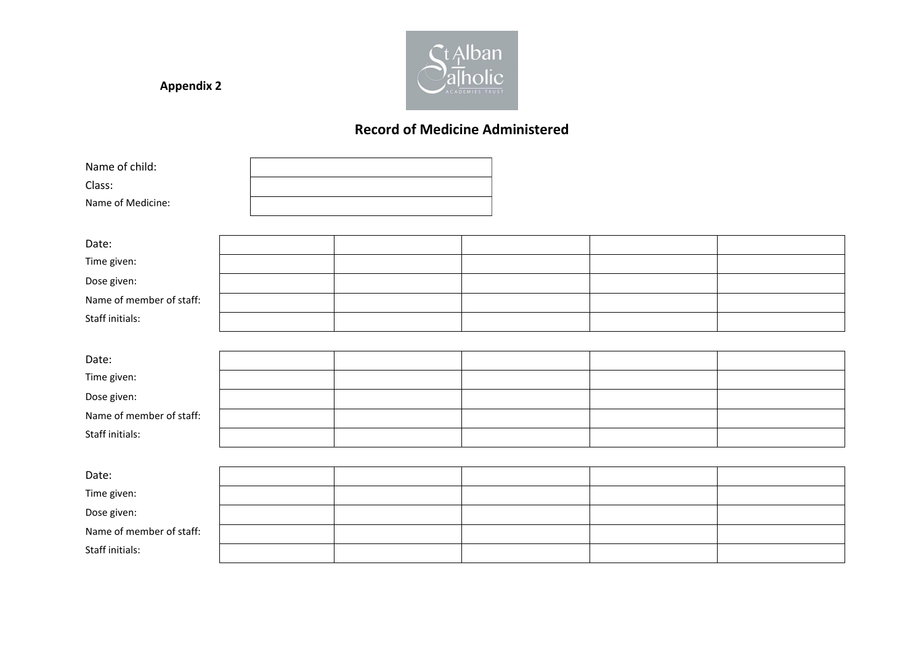

# **Record of Medicine Administered**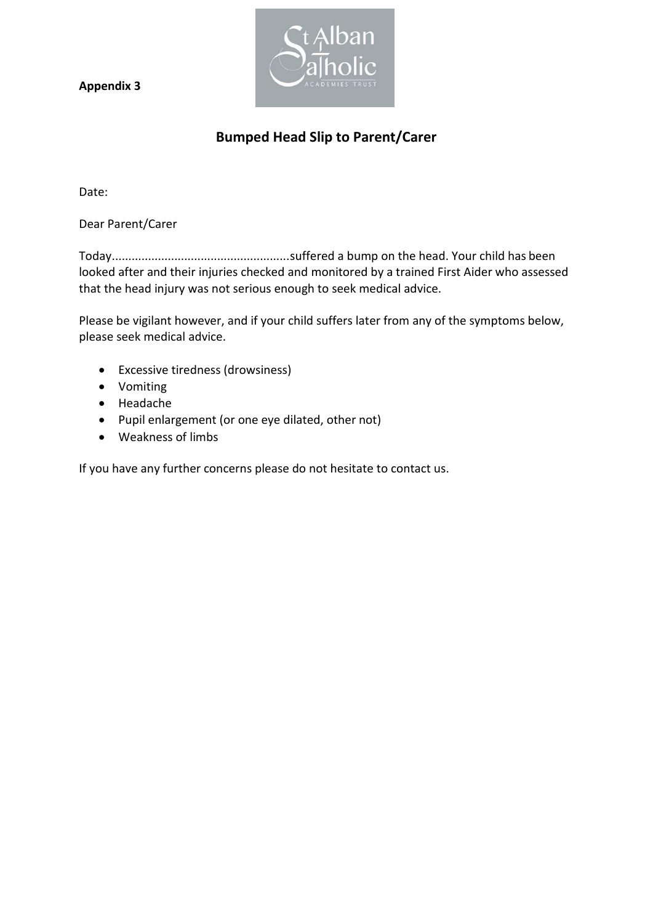

# **Bumped Head Slip to Parent/Carer**

Date:

Dear Parent/Carer

Today......................................................suffered a bump on the head. Your child has been looked after and their injuries checked and monitored by a trained First Aider who assessed that the head injury was not serious enough to seek medical advice.

Please be vigilant however, and if your child suffers later from any of the symptoms below, please seek medical advice.

- Excessive tiredness (drowsiness)
- Vomiting
- Headache
- Pupil enlargement (or one eye dilated, other not)
- Weakness of limbs

If you have any further concerns please do not hesitate to contact us.